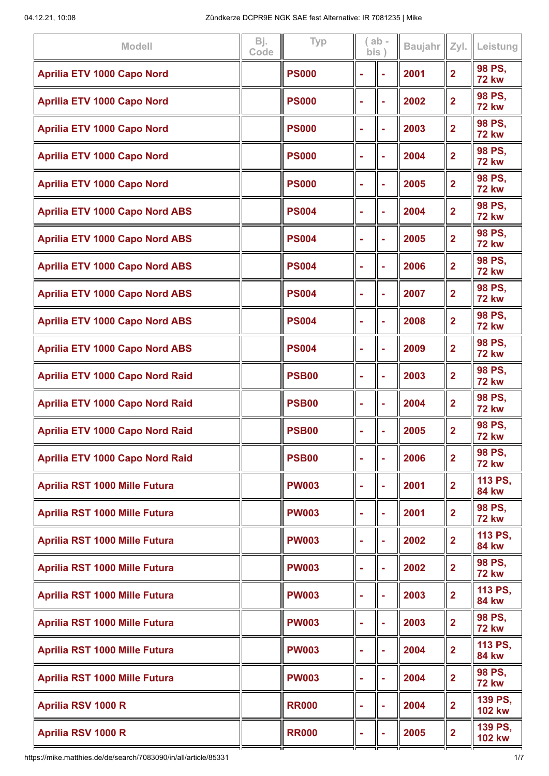| 98 PS,<br>2001<br>$\overline{2}$<br><b>Aprilia ETV 1000 Capo Nord</b><br><b>PS000</b><br>۰<br><b>72 kw</b><br>98 PS,<br>2002<br>$\overline{2}$<br><b>Aprilia ETV 1000 Capo Nord</b><br><b>PS000</b><br>÷<br>٠<br><b>72 kw</b><br>98 PS,<br>2003<br>$\overline{2}$<br><b>Aprilia ETV 1000 Capo Nord</b><br><b>PS000</b><br>÷<br>۰<br><b>72 kw</b><br>98 PS.<br><b>Aprilia ETV 1000 Capo Nord</b><br><b>PS000</b><br>2004<br>$\overline{2}$<br>$\blacksquare$<br>÷<br><b>72 kw</b><br>98 PS,<br>2005<br>$\overline{2}$<br><b>Aprilia ETV 1000 Capo Nord</b><br><b>PS000</b><br>۰<br>٠<br><b>72 kw</b><br>98 PS,<br><b>Aprilia ETV 1000 Capo Nord ABS</b><br><b>PS004</b><br>2004<br>$\overline{2}$<br>÷<br>Ē,<br><b>72 kw</b><br>98 PS,<br>2005<br>$\overline{2}$<br><b>Aprilia ETV 1000 Capo Nord ABS</b><br><b>PS004</b><br>Ē,<br>۰<br><b>72 kw</b><br>98 PS,<br>2006<br>$\overline{2}$<br><b>Aprilia ETV 1000 Capo Nord ABS</b><br><b>PS004</b><br>ċ<br>۰<br><b>72 kw</b><br>98 PS,<br>$\overline{2}$<br>2007<br><b>Aprilia ETV 1000 Capo Nord ABS</b><br><b>PS004</b><br>۰<br>÷<br><b>72 kw</b><br>98 PS,<br>$\overline{2}$<br><b>Aprilia ETV 1000 Capo Nord ABS</b><br><b>PS004</b><br>2008<br>Ē,<br>۰<br><b>72 kw</b><br>98 PS,<br><b>Aprilia ETV 1000 Capo Nord ABS</b><br><b>PS004</b><br>2009<br>$\overline{2}$<br>۰<br>÷<br><b>72 kw</b><br>98 PS,<br>2003<br>$\overline{2}$<br><b>Aprilia ETV 1000 Capo Nord Raid</b><br><b>PSB00</b><br>۰<br>÷<br><b>72 kw</b><br>98 PS,<br><b>PSB00</b><br>2004<br>$\overline{2}$<br><b>Aprilia ETV 1000 Capo Nord Raid</b><br>۰<br><b>72 kw</b><br>98 PS.<br>2005<br><b>Aprilia ETV 1000 Capo Nord Raid</b><br><b>PSB00</b><br>$\overline{2}$<br>۰<br><b>72 kw</b><br>98 PS,<br>2006<br>$\overline{2}$<br><b>PSB00</b><br><b>Aprilia ETV 1000 Capo Nord Raid</b><br><b>72 kw</b><br>113 PS,<br>2001<br>$\overline{2}$<br><b>PW003</b><br><b>Aprilia RST 1000 Mille Futura</b><br><b>84 kw</b><br>98 PS.<br>2001<br>$\overline{2}$<br><b>Aprilia RST 1000 Mille Futura</b><br><b>PW003</b><br>$\blacksquare$<br><b>72 kw</b><br>113 PS,<br>2002<br>$\overline{2}$<br>Aprilia RST 1000 Mille Futura<br><b>PW003</b><br>$\blacksquare$<br><b>84 kw</b><br>98 PS,<br>2002<br>$\overline{\mathbf{2}}$<br><b>Aprilia RST 1000 Mille Futura</b><br><b>PW003</b><br>۰<br><b>72 kw</b><br>113 PS,<br>2003<br>$\overline{2}$<br><b>Aprilia RST 1000 Mille Futura</b><br><b>PW003</b><br>ä,<br><b>84 kw</b><br>98 PS,<br>$\overline{\mathbf{2}}$<br>2003<br><b>Aprilia RST 1000 Mille Futura</b><br><b>PW003</b><br>ä,<br>÷<br><b>72 kw</b><br>113 PS,<br>$\overline{2}$<br><b>Aprilia RST 1000 Mille Futura</b><br><b>PW003</b><br>2004<br>ä,<br>÷,<br><b>84 kw</b><br>98 PS,<br>2004<br>$\overline{\mathbf{2}}$<br><b>Aprilia RST 1000 Mille Futura</b><br><b>PW003</b><br>j,<br>$\blacksquare$<br><b>72 kw</b><br>139 PS,<br>2004<br>$\overline{2}$<br>Aprilia RSV 1000 R<br><b>RR000</b><br>$\blacksquare$<br>÷<br><b>102 kw</b><br>139 PS,<br>2005<br>$\overline{\mathbf{2}}$<br>Aprilia RSV 1000 R<br><b>RR000</b><br>۰<br><b>102 kw</b> | <b>Modell</b> | Bj.<br>Code | Typ | bis | $ab -$ | <b>Baujahr</b> | Zyl. | Leistung |
|---------------------------------------------------------------------------------------------------------------------------------------------------------------------------------------------------------------------------------------------------------------------------------------------------------------------------------------------------------------------------------------------------------------------------------------------------------------------------------------------------------------------------------------------------------------------------------------------------------------------------------------------------------------------------------------------------------------------------------------------------------------------------------------------------------------------------------------------------------------------------------------------------------------------------------------------------------------------------------------------------------------------------------------------------------------------------------------------------------------------------------------------------------------------------------------------------------------------------------------------------------------------------------------------------------------------------------------------------------------------------------------------------------------------------------------------------------------------------------------------------------------------------------------------------------------------------------------------------------------------------------------------------------------------------------------------------------------------------------------------------------------------------------------------------------------------------------------------------------------------------------------------------------------------------------------------------------------------------------------------------------------------------------------------------------------------------------------------------------------------------------------------------------------------------------------------------------------------------------------------------------------------------------------------------------------------------------------------------------------------------------------------------------------------------------------------------------------------------------------------------------------------------------------------------------------------------------------------------------------------------------------------------------------------------------------------------------------------------------------------------------------------------------------------------------------------------------------------------------------------------------------------------------------------------------------------------------------------------------------------------------------------------------------------------------------------------------|---------------|-------------|-----|-----|--------|----------------|------|----------|
|                                                                                                                                                                                                                                                                                                                                                                                                                                                                                                                                                                                                                                                                                                                                                                                                                                                                                                                                                                                                                                                                                                                                                                                                                                                                                                                                                                                                                                                                                                                                                                                                                                                                                                                                                                                                                                                                                                                                                                                                                                                                                                                                                                                                                                                                                                                                                                                                                                                                                                                                                                                                                                                                                                                                                                                                                                                                                                                                                                                                                                                                                 |               |             |     |     |        |                |      |          |
|                                                                                                                                                                                                                                                                                                                                                                                                                                                                                                                                                                                                                                                                                                                                                                                                                                                                                                                                                                                                                                                                                                                                                                                                                                                                                                                                                                                                                                                                                                                                                                                                                                                                                                                                                                                                                                                                                                                                                                                                                                                                                                                                                                                                                                                                                                                                                                                                                                                                                                                                                                                                                                                                                                                                                                                                                                                                                                                                                                                                                                                                                 |               |             |     |     |        |                |      |          |
|                                                                                                                                                                                                                                                                                                                                                                                                                                                                                                                                                                                                                                                                                                                                                                                                                                                                                                                                                                                                                                                                                                                                                                                                                                                                                                                                                                                                                                                                                                                                                                                                                                                                                                                                                                                                                                                                                                                                                                                                                                                                                                                                                                                                                                                                                                                                                                                                                                                                                                                                                                                                                                                                                                                                                                                                                                                                                                                                                                                                                                                                                 |               |             |     |     |        |                |      |          |
|                                                                                                                                                                                                                                                                                                                                                                                                                                                                                                                                                                                                                                                                                                                                                                                                                                                                                                                                                                                                                                                                                                                                                                                                                                                                                                                                                                                                                                                                                                                                                                                                                                                                                                                                                                                                                                                                                                                                                                                                                                                                                                                                                                                                                                                                                                                                                                                                                                                                                                                                                                                                                                                                                                                                                                                                                                                                                                                                                                                                                                                                                 |               |             |     |     |        |                |      |          |
|                                                                                                                                                                                                                                                                                                                                                                                                                                                                                                                                                                                                                                                                                                                                                                                                                                                                                                                                                                                                                                                                                                                                                                                                                                                                                                                                                                                                                                                                                                                                                                                                                                                                                                                                                                                                                                                                                                                                                                                                                                                                                                                                                                                                                                                                                                                                                                                                                                                                                                                                                                                                                                                                                                                                                                                                                                                                                                                                                                                                                                                                                 |               |             |     |     |        |                |      |          |
|                                                                                                                                                                                                                                                                                                                                                                                                                                                                                                                                                                                                                                                                                                                                                                                                                                                                                                                                                                                                                                                                                                                                                                                                                                                                                                                                                                                                                                                                                                                                                                                                                                                                                                                                                                                                                                                                                                                                                                                                                                                                                                                                                                                                                                                                                                                                                                                                                                                                                                                                                                                                                                                                                                                                                                                                                                                                                                                                                                                                                                                                                 |               |             |     |     |        |                |      |          |
|                                                                                                                                                                                                                                                                                                                                                                                                                                                                                                                                                                                                                                                                                                                                                                                                                                                                                                                                                                                                                                                                                                                                                                                                                                                                                                                                                                                                                                                                                                                                                                                                                                                                                                                                                                                                                                                                                                                                                                                                                                                                                                                                                                                                                                                                                                                                                                                                                                                                                                                                                                                                                                                                                                                                                                                                                                                                                                                                                                                                                                                                                 |               |             |     |     |        |                |      |          |
|                                                                                                                                                                                                                                                                                                                                                                                                                                                                                                                                                                                                                                                                                                                                                                                                                                                                                                                                                                                                                                                                                                                                                                                                                                                                                                                                                                                                                                                                                                                                                                                                                                                                                                                                                                                                                                                                                                                                                                                                                                                                                                                                                                                                                                                                                                                                                                                                                                                                                                                                                                                                                                                                                                                                                                                                                                                                                                                                                                                                                                                                                 |               |             |     |     |        |                |      |          |
|                                                                                                                                                                                                                                                                                                                                                                                                                                                                                                                                                                                                                                                                                                                                                                                                                                                                                                                                                                                                                                                                                                                                                                                                                                                                                                                                                                                                                                                                                                                                                                                                                                                                                                                                                                                                                                                                                                                                                                                                                                                                                                                                                                                                                                                                                                                                                                                                                                                                                                                                                                                                                                                                                                                                                                                                                                                                                                                                                                                                                                                                                 |               |             |     |     |        |                |      |          |
|                                                                                                                                                                                                                                                                                                                                                                                                                                                                                                                                                                                                                                                                                                                                                                                                                                                                                                                                                                                                                                                                                                                                                                                                                                                                                                                                                                                                                                                                                                                                                                                                                                                                                                                                                                                                                                                                                                                                                                                                                                                                                                                                                                                                                                                                                                                                                                                                                                                                                                                                                                                                                                                                                                                                                                                                                                                                                                                                                                                                                                                                                 |               |             |     |     |        |                |      |          |
|                                                                                                                                                                                                                                                                                                                                                                                                                                                                                                                                                                                                                                                                                                                                                                                                                                                                                                                                                                                                                                                                                                                                                                                                                                                                                                                                                                                                                                                                                                                                                                                                                                                                                                                                                                                                                                                                                                                                                                                                                                                                                                                                                                                                                                                                                                                                                                                                                                                                                                                                                                                                                                                                                                                                                                                                                                                                                                                                                                                                                                                                                 |               |             |     |     |        |                |      |          |
|                                                                                                                                                                                                                                                                                                                                                                                                                                                                                                                                                                                                                                                                                                                                                                                                                                                                                                                                                                                                                                                                                                                                                                                                                                                                                                                                                                                                                                                                                                                                                                                                                                                                                                                                                                                                                                                                                                                                                                                                                                                                                                                                                                                                                                                                                                                                                                                                                                                                                                                                                                                                                                                                                                                                                                                                                                                                                                                                                                                                                                                                                 |               |             |     |     |        |                |      |          |
|                                                                                                                                                                                                                                                                                                                                                                                                                                                                                                                                                                                                                                                                                                                                                                                                                                                                                                                                                                                                                                                                                                                                                                                                                                                                                                                                                                                                                                                                                                                                                                                                                                                                                                                                                                                                                                                                                                                                                                                                                                                                                                                                                                                                                                                                                                                                                                                                                                                                                                                                                                                                                                                                                                                                                                                                                                                                                                                                                                                                                                                                                 |               |             |     |     |        |                |      |          |
|                                                                                                                                                                                                                                                                                                                                                                                                                                                                                                                                                                                                                                                                                                                                                                                                                                                                                                                                                                                                                                                                                                                                                                                                                                                                                                                                                                                                                                                                                                                                                                                                                                                                                                                                                                                                                                                                                                                                                                                                                                                                                                                                                                                                                                                                                                                                                                                                                                                                                                                                                                                                                                                                                                                                                                                                                                                                                                                                                                                                                                                                                 |               |             |     |     |        |                |      |          |
|                                                                                                                                                                                                                                                                                                                                                                                                                                                                                                                                                                                                                                                                                                                                                                                                                                                                                                                                                                                                                                                                                                                                                                                                                                                                                                                                                                                                                                                                                                                                                                                                                                                                                                                                                                                                                                                                                                                                                                                                                                                                                                                                                                                                                                                                                                                                                                                                                                                                                                                                                                                                                                                                                                                                                                                                                                                                                                                                                                                                                                                                                 |               |             |     |     |        |                |      |          |
|                                                                                                                                                                                                                                                                                                                                                                                                                                                                                                                                                                                                                                                                                                                                                                                                                                                                                                                                                                                                                                                                                                                                                                                                                                                                                                                                                                                                                                                                                                                                                                                                                                                                                                                                                                                                                                                                                                                                                                                                                                                                                                                                                                                                                                                                                                                                                                                                                                                                                                                                                                                                                                                                                                                                                                                                                                                                                                                                                                                                                                                                                 |               |             |     |     |        |                |      |          |
|                                                                                                                                                                                                                                                                                                                                                                                                                                                                                                                                                                                                                                                                                                                                                                                                                                                                                                                                                                                                                                                                                                                                                                                                                                                                                                                                                                                                                                                                                                                                                                                                                                                                                                                                                                                                                                                                                                                                                                                                                                                                                                                                                                                                                                                                                                                                                                                                                                                                                                                                                                                                                                                                                                                                                                                                                                                                                                                                                                                                                                                                                 |               |             |     |     |        |                |      |          |
|                                                                                                                                                                                                                                                                                                                                                                                                                                                                                                                                                                                                                                                                                                                                                                                                                                                                                                                                                                                                                                                                                                                                                                                                                                                                                                                                                                                                                                                                                                                                                                                                                                                                                                                                                                                                                                                                                                                                                                                                                                                                                                                                                                                                                                                                                                                                                                                                                                                                                                                                                                                                                                                                                                                                                                                                                                                                                                                                                                                                                                                                                 |               |             |     |     |        |                |      |          |
|                                                                                                                                                                                                                                                                                                                                                                                                                                                                                                                                                                                                                                                                                                                                                                                                                                                                                                                                                                                                                                                                                                                                                                                                                                                                                                                                                                                                                                                                                                                                                                                                                                                                                                                                                                                                                                                                                                                                                                                                                                                                                                                                                                                                                                                                                                                                                                                                                                                                                                                                                                                                                                                                                                                                                                                                                                                                                                                                                                                                                                                                                 |               |             |     |     |        |                |      |          |
|                                                                                                                                                                                                                                                                                                                                                                                                                                                                                                                                                                                                                                                                                                                                                                                                                                                                                                                                                                                                                                                                                                                                                                                                                                                                                                                                                                                                                                                                                                                                                                                                                                                                                                                                                                                                                                                                                                                                                                                                                                                                                                                                                                                                                                                                                                                                                                                                                                                                                                                                                                                                                                                                                                                                                                                                                                                                                                                                                                                                                                                                                 |               |             |     |     |        |                |      |          |
|                                                                                                                                                                                                                                                                                                                                                                                                                                                                                                                                                                                                                                                                                                                                                                                                                                                                                                                                                                                                                                                                                                                                                                                                                                                                                                                                                                                                                                                                                                                                                                                                                                                                                                                                                                                                                                                                                                                                                                                                                                                                                                                                                                                                                                                                                                                                                                                                                                                                                                                                                                                                                                                                                                                                                                                                                                                                                                                                                                                                                                                                                 |               |             |     |     |        |                |      |          |
|                                                                                                                                                                                                                                                                                                                                                                                                                                                                                                                                                                                                                                                                                                                                                                                                                                                                                                                                                                                                                                                                                                                                                                                                                                                                                                                                                                                                                                                                                                                                                                                                                                                                                                                                                                                                                                                                                                                                                                                                                                                                                                                                                                                                                                                                                                                                                                                                                                                                                                                                                                                                                                                                                                                                                                                                                                                                                                                                                                                                                                                                                 |               |             |     |     |        |                |      |          |
|                                                                                                                                                                                                                                                                                                                                                                                                                                                                                                                                                                                                                                                                                                                                                                                                                                                                                                                                                                                                                                                                                                                                                                                                                                                                                                                                                                                                                                                                                                                                                                                                                                                                                                                                                                                                                                                                                                                                                                                                                                                                                                                                                                                                                                                                                                                                                                                                                                                                                                                                                                                                                                                                                                                                                                                                                                                                                                                                                                                                                                                                                 |               |             |     |     |        |                |      |          |
|                                                                                                                                                                                                                                                                                                                                                                                                                                                                                                                                                                                                                                                                                                                                                                                                                                                                                                                                                                                                                                                                                                                                                                                                                                                                                                                                                                                                                                                                                                                                                                                                                                                                                                                                                                                                                                                                                                                                                                                                                                                                                                                                                                                                                                                                                                                                                                                                                                                                                                                                                                                                                                                                                                                                                                                                                                                                                                                                                                                                                                                                                 |               |             |     |     |        |                |      |          |
|                                                                                                                                                                                                                                                                                                                                                                                                                                                                                                                                                                                                                                                                                                                                                                                                                                                                                                                                                                                                                                                                                                                                                                                                                                                                                                                                                                                                                                                                                                                                                                                                                                                                                                                                                                                                                                                                                                                                                                                                                                                                                                                                                                                                                                                                                                                                                                                                                                                                                                                                                                                                                                                                                                                                                                                                                                                                                                                                                                                                                                                                                 |               |             |     |     |        |                |      |          |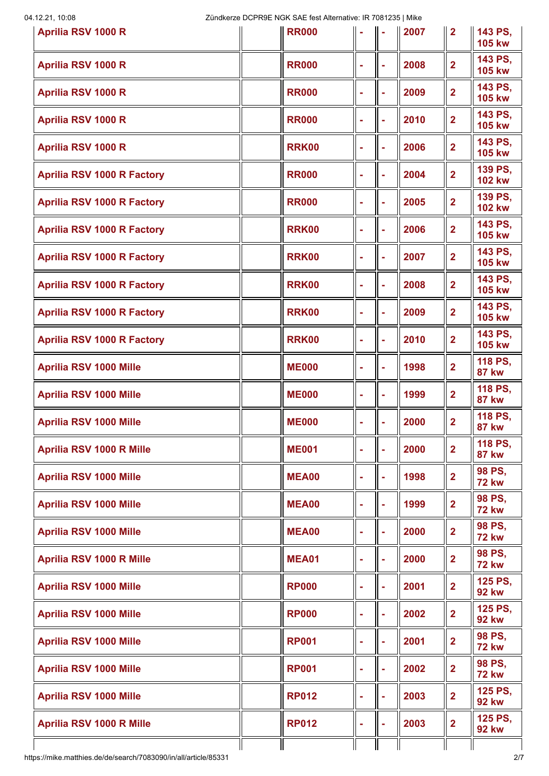| Aprilia RSV 1000 R                                              | <b>RR000</b> |        |    | 2007 | $\overline{2}$          | 143 PS,<br><b>105 kw</b> |
|-----------------------------------------------------------------|--------------|--------|----|------|-------------------------|--------------------------|
| <b>Aprilia RSV 1000 R</b>                                       | <b>RR000</b> | ×      | ÷  | 2008 | $\overline{2}$          | 143 PS,<br><b>105 kw</b> |
| Aprilia RSV 1000 R                                              | <b>RR000</b> | ä,     | ÷  | 2009 | $\overline{2}$          | 143 PS,<br><b>105 kw</b> |
| <b>Aprilia RSV 1000 R</b>                                       | <b>RR000</b> | ä,     | ÷  | 2010 | $\overline{2}$          | 143 PS,<br><b>105 kw</b> |
| <b>Aprilia RSV 1000 R</b>                                       | <b>RRK00</b> | ÷      | ÷  | 2006 | $\overline{2}$          | 143 PS,<br><b>105 kw</b> |
| <b>Aprilia RSV 1000 R Factory</b>                               | <b>RR000</b> | ×      | ۰  | 2004 | $\overline{2}$          | 139 PS,<br><b>102 kw</b> |
| <b>Aprilia RSV 1000 R Factory</b>                               | <b>RR000</b> | ×      | ÷  | 2005 | $\overline{\mathbf{2}}$ | 139 PS,<br><b>102 kw</b> |
| <b>Aprilia RSV 1000 R Factory</b>                               | <b>RRK00</b> | ä,     | ÷  | 2006 | $\overline{2}$          | 143 PS,<br><b>105 kw</b> |
| <b>Aprilia RSV 1000 R Factory</b>                               | <b>RRK00</b> | ä,     | ÷  | 2007 | $\overline{2}$          | 143 PS,<br><b>105 kw</b> |
| <b>Aprilia RSV 1000 R Factory</b>                               | <b>RRK00</b> | ċ      | ÷  | 2008 | $\overline{2}$          | 143 PS,<br><b>105 kw</b> |
| <b>Aprilia RSV 1000 R Factory</b>                               | <b>RRK00</b> | ×      | ÷  | 2009 | $\overline{2}$          | 143 PS,<br><b>105 kw</b> |
| <b>Aprilia RSV 1000 R Factory</b>                               | <b>RRK00</b> | ÷      | ÷  | 2010 | $\overline{2}$          | 143 PS,<br><b>105 kw</b> |
| <b>Aprilia RSV 1000 Mille</b>                                   | <b>ME000</b> | ×      |    | 1998 | $\overline{2}$          | 118 PS,<br><b>87 kw</b>  |
| <b>Aprilia RSV 1000 Mille</b>                                   | <b>ME000</b> | ٠      |    | 1999 | $\overline{2}$          | 118 PS,<br><b>87 kw</b>  |
| <b>Aprilia RSV 1000 Mille</b>                                   | <b>ME000</b> | ÷      |    | 2000 | $\overline{2}$          | 118 PS,<br><b>87 kw</b>  |
| <b>Aprilia RSV 1000 R Mille</b>                                 | <b>ME001</b> |        |    | 2000 | $\overline{\mathbf{2}}$ | 118 PS,<br><b>87 kw</b>  |
| <b>Aprilia RSV 1000 Mille</b>                                   | <b>MEA00</b> |        |    | 1998 | $\overline{2}$          | 98 PS,<br><b>72 kw</b>   |
| <b>Aprilia RSV 1000 Mille</b>                                   | <b>MEA00</b> | ÷      |    | 1999 | $\overline{2}$          | 98 PS,<br><b>72 kw</b>   |
| <b>Aprilia RSV 1000 Mille</b>                                   | <b>MEA00</b> | ä,     | ۰  | 2000 | $\overline{\mathbf{2}}$ | 98 PS,<br><b>72 kw</b>   |
| <b>Aprilia RSV 1000 R Mille</b>                                 | <b>MEA01</b> |        |    | 2000 | $\overline{\mathbf{2}}$ | 98 PS,<br><b>72 kw</b>   |
| <b>Aprilia RSV 1000 Mille</b>                                   | <b>RP000</b> |        |    | 2001 | $\overline{\mathbf{2}}$ | 125 PS,<br><b>92 kw</b>  |
| <b>Aprilia RSV 1000 Mille</b>                                   | <b>RP000</b> | ä,     | ä, | 2002 | $\overline{2}$          | 125 PS,<br><b>92 kw</b>  |
| <b>Aprilia RSV 1000 Mille</b>                                   | <b>RP001</b> | ä,     | ä, | 2001 | $\overline{2}$          | 98 PS,<br><b>72 kw</b>   |
| <b>Aprilia RSV 1000 Mille</b>                                   | <b>RP001</b> | ÷      | ÷  | 2002 | $\overline{\mathbf{2}}$ | 98 PS,<br><b>72 kw</b>   |
| <b>Aprilia RSV 1000 Mille</b>                                   | <b>RP012</b> | ä,     | ä, | 2003 | $\overline{\mathbf{2}}$ | 125 PS,<br><b>92 kw</b>  |
| <b>Aprilia RSV 1000 R Mille</b>                                 | <b>RP012</b> | $\sim$ | ÷  | 2003 | $\mathbf{2}$            | 125 PS,<br><b>92 kw</b>  |
| https://mike.matthies.de/de/search/7083090/in/all/article/85331 |              |        |    |      |                         | 2/7                      |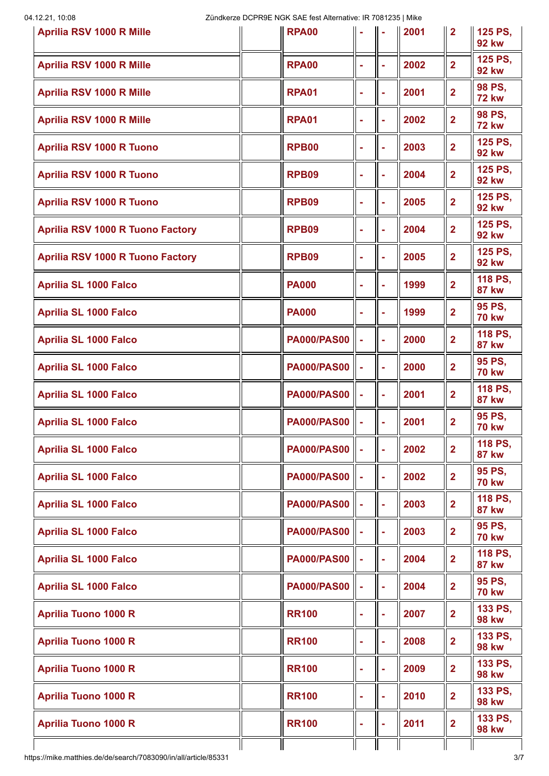| <b>Aprilia RSV 1000 R Mille</b>         | <b>RPA00</b>       |    |    | 2001 | $\overline{2}$          | 125 PS,<br><b>92 kw</b> |
|-----------------------------------------|--------------------|----|----|------|-------------------------|-------------------------|
| <b>Aprilia RSV 1000 R Mille</b>         | <b>RPA00</b>       | ÷  | ä, | 2002 | $\overline{2}$          | 125 PS,<br><b>92 kw</b> |
| <b>Aprilia RSV 1000 R Mille</b>         | <b>RPA01</b>       |    | ÷  | 2001 | $\overline{2}$          | 98 PS,<br><b>72 kw</b>  |
| <b>Aprilia RSV 1000 R Mille</b>         | <b>RPA01</b>       | ÷  | ÷  | 2002 | $\overline{2}$          | 98 PS,<br><b>72 kw</b>  |
| <b>Aprilia RSV 1000 R Tuono</b>         | <b>RPB00</b>       | ÷  | ÷  | 2003 | $\overline{2}$          | 125 PS,<br><b>92 kw</b> |
| <b>Aprilia RSV 1000 R Tuono</b>         | RPB09              |    | ä, | 2004 | $\overline{2}$          | 125 PS,<br><b>92 kw</b> |
| <b>Aprilia RSV 1000 R Tuono</b>         | <b>RPB09</b>       |    | ä, | 2005 | $\overline{\mathbf{2}}$ | 125 PS,<br><b>92 kw</b> |
| <b>Aprilia RSV 1000 R Tuono Factory</b> | RPB09              |    | ä, | 2004 | $\overline{2}$          | 125 PS,<br><b>92 kw</b> |
| <b>Aprilia RSV 1000 R Tuono Factory</b> | <b>RPB09</b>       |    | ÷  | 2005 | $\overline{\mathbf{2}}$ | 125 PS,<br><b>92 kw</b> |
| <b>Aprilia SL 1000 Falco</b>            | <b>PA000</b>       |    | ÷  | 1999 | $\overline{2}$          | 118 PS,<br><b>87 kw</b> |
| <b>Aprilia SL 1000 Falco</b>            | <b>PA000</b>       |    | ä, | 1999 | $\overline{2}$          | 95 PS,<br><b>70 kw</b>  |
| <b>Aprilia SL 1000 Falco</b>            | <b>PA000/PAS00</b> | ä, | ä, | 2000 | $\overline{2}$          | 118 PS,<br><b>87 kw</b> |
| <b>Aprilia SL 1000 Falco</b>            | <b>PA000/PAS00</b> |    | ä, | 2000 | $\overline{2}$          | 95 PS,<br><b>70 kw</b>  |
| <b>Aprilia SL 1000 Falco</b>            | <b>PA000/PAS00</b> | ä, | ä, | 2001 | $\overline{\mathbf{2}}$ | 118 PS,<br><b>87 kw</b> |
| <b>Aprilia SL 1000 Falco</b>            | <b>PA000/PAS00</b> |    | ä, | 2001 | $\overline{2}$          | 95 PS,<br><b>70 kw</b>  |
| <b>Aprilia SL 1000 Falco</b>            | <b>PA000/PAS00</b> |    | ä  | 2002 | $\overline{\mathbf{2}}$ | 118 PS,<br><b>87 kw</b> |
| <b>Aprilia SL 1000 Falco</b>            | <b>PA000/PAS00</b> |    | ä, | 2002 | $\overline{2}$          | 95 PS,<br><b>70 kw</b>  |
| <b>Aprilia SL 1000 Falco</b>            | <b>PA000/PAS00</b> |    | ÷, | 2003 | $\overline{\mathbf{2}}$ | 118 PS,<br><b>87 kw</b> |
| <b>Aprilia SL 1000 Falco</b>            | <b>PA000/PAS00</b> |    | ä  | 2003 | $\overline{2}$          | 95 PS,<br><b>70 kw</b>  |
| <b>Aprilia SL 1000 Falco</b>            | <b>PA000/PAS00</b> |    | ä  | 2004 | $\overline{\mathbf{2}}$ | 118 PS,<br><b>87 kw</b> |
| <b>Aprilia SL 1000 Falco</b>            | <b>PA000/PAS00</b> | ä, | ä  | 2004 | $\overline{\mathbf{2}}$ | 95 PS,<br><b>70 kw</b>  |
| <b>Aprilia Tuono 1000 R</b>             | <b>RR100</b>       |    | ä, | 2007 | $\overline{\mathbf{2}}$ | 133 PS,<br><b>98 kw</b> |
| <b>Aprilia Tuono 1000 R</b>             | <b>RR100</b>       |    | ä, | 2008 | $\overline{\mathbf{2}}$ | 133 PS,<br><b>98 kw</b> |
| <b>Aprilia Tuono 1000 R</b>             | <b>RR100</b>       |    | ä, | 2009 | $\overline{\mathbf{2}}$ | 133 PS,<br><b>98 kw</b> |
| <b>Aprilia Tuono 1000 R</b>             | <b>RR100</b>       |    | ä, | 2010 | $\overline{\mathbf{2}}$ | 133 PS,<br><b>98 kw</b> |
| <b>Aprilia Tuono 1000 R</b>             | <b>RR100</b>       | ÷  | ÷  | 2011 | $\overline{\mathbf{2}}$ | 133 PS,<br><b>98 kw</b> |
|                                         |                    |    |    |      |                         |                         |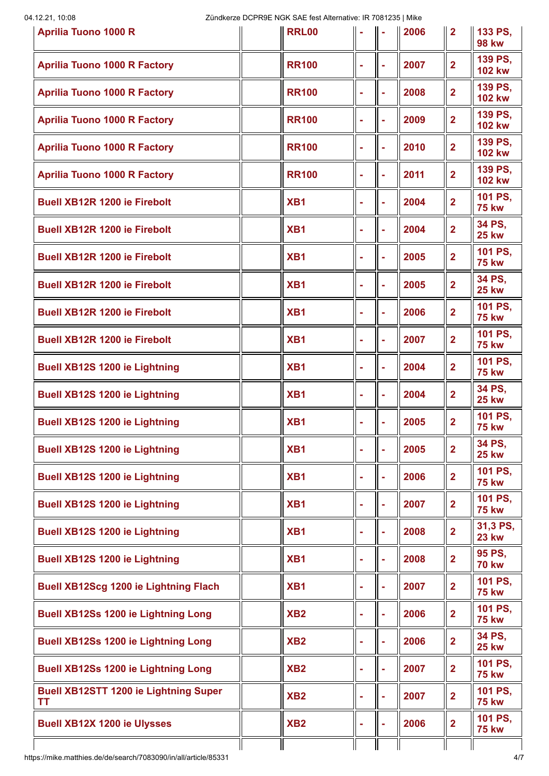| <b>Aprilia Tuono 1000 R</b>                                     | <b>RRL00</b>    |                |    | 2006 | $\overline{2}$ | 133 PS,<br><b>98 kw</b>  |
|-----------------------------------------------------------------|-----------------|----------------|----|------|----------------|--------------------------|
| <b>Aprilia Tuono 1000 R Factory</b>                             | <b>RR100</b>    | ×              | ÷  | 2007 | $\overline{2}$ | 139 PS,<br><b>102 kw</b> |
| <b>Aprilia Tuono 1000 R Factory</b>                             | <b>RR100</b>    | ä,             |    | 2008 | $\overline{2}$ | 139 PS.<br><b>102 kw</b> |
| <b>Aprilia Tuono 1000 R Factory</b>                             | <b>RR100</b>    | ×              | ÷  | 2009 | $\overline{2}$ | 139 PS,<br><b>102 kw</b> |
| <b>Aprilia Tuono 1000 R Factory</b>                             | <b>RR100</b>    | ÷              | ÷  | 2010 | $\overline{2}$ | 139 PS,<br><b>102 kw</b> |
| <b>Aprilia Tuono 1000 R Factory</b>                             | <b>RR100</b>    | ×              |    | 2011 | $\overline{2}$ | 139 PS,<br><b>102 kw</b> |
| <b>Buell XB12R 1200 ie Firebolt</b>                             | XB <sub>1</sub> |                |    | 2004 | $\overline{2}$ | 101 PS,<br><b>75 kw</b>  |
| <b>Buell XB12R 1200 ie Firebolt</b>                             | XB <sub>1</sub> | $\blacksquare$ | ÷  | 2004 | $\overline{2}$ | 34 PS,<br><b>25 kw</b>   |
| <b>Buell XB12R 1200 ie Firebolt</b>                             | XB <sub>1</sub> |                | ÷  | 2005 | $\overline{2}$ | 101 PS,<br><b>75 kw</b>  |
| <b>Buell XB12R 1200 ie Firebolt</b>                             | XB <sub>1</sub> |                |    | 2005 | $\overline{2}$ | 34 PS,<br><b>25 kw</b>   |
| <b>Buell XB12R 1200 ie Firebolt</b>                             | XB <sub>1</sub> |                | ÷  | 2006 | $\overline{2}$ | 101 PS,<br><b>75 kw</b>  |
| <b>Buell XB12R 1200 ie Firebolt</b>                             | XB <sub>1</sub> |                | ÷  | 2007 | $\overline{2}$ | 101 PS,<br><b>75 kw</b>  |
| <b>Buell XB12S 1200 ie Lightning</b>                            | XB <sub>1</sub> |                |    | 2004 | $\overline{2}$ | 101 PS,<br><b>75 kw</b>  |
| <b>Buell XB12S 1200 ie Lightning</b>                            | XB <sub>1</sub> |                |    | 2004 | $\overline{2}$ | 34 PS,<br><b>25 kw</b>   |
| <b>Buell XB12S 1200 ie Lightning</b>                            | XB <sub>1</sub> |                |    | 2005 | $\overline{2}$ | 101 PS,<br><b>75 kw</b>  |
| <b>Buell XB12S 1200 ie Lightning</b>                            | XB <sub>1</sub> |                |    | 2005 | $\overline{2}$ | 34 PS,<br><b>25 kw</b>   |
| <b>Buell XB12S 1200 ie Lightning</b>                            | XB <sub>1</sub> |                |    | 2006 | $\overline{2}$ | 101 PS,<br><b>75 kw</b>  |
| <b>Buell XB12S 1200 ie Lightning</b>                            | XB <sub>1</sub> |                |    | 2007 | $\overline{2}$ | 101 PS.<br><b>75 kw</b>  |
| <b>Buell XB12S 1200 ie Lightning</b>                            | XB <sub>1</sub> |                | ÷  | 2008 | $\overline{2}$ | 31,3 PS,<br><b>23 kw</b> |
| <b>Buell XB12S 1200 ie Lightning</b>                            | XB <sub>1</sub> |                |    | 2008 | $\overline{2}$ | 95 PS,<br><b>70 kw</b>   |
| <b>Buell XB12Scg 1200 ie Lightning Flach</b>                    | XB <sub>1</sub> |                |    | 2007 | $\overline{2}$ | 101 PS,<br><b>75 kw</b>  |
| <b>Buell XB12Ss 1200 ie Lightning Long</b>                      | XB <sub>2</sub> |                | ä, | 2006 | $\overline{2}$ | 101 PS,<br><b>75 kw</b>  |
| <b>Buell XB12Ss 1200 ie Lightning Long</b>                      | XB <sub>2</sub> | ä,             | ä, | 2006 | $\overline{2}$ | 34 PS,<br><b>25 kw</b>   |
| <b>Buell XB12Ss 1200 ie Lightning Long</b>                      | XB <sub>2</sub> |                | ÷  | 2007 | $\overline{2}$ | 101 PS,<br><b>75 kw</b>  |
| <b>Buell XB12STT 1200 ie Lightning Super</b><br><b>TT</b>       | XB <sub>2</sub> | $\blacksquare$ | ä, | 2007 | $\overline{2}$ | 101 PS,<br><b>75 kw</b>  |
| <b>Buell XB12X 1200 ie Ulysses</b>                              | XB <sub>2</sub> | $\blacksquare$ | ÷  | 2006 | $\overline{2}$ | 101 PS,<br><b>75 kw</b>  |
| https://mike.matthies.de/de/search/7083090/in/all/article/85331 |                 |                |    |      |                | 4/7                      |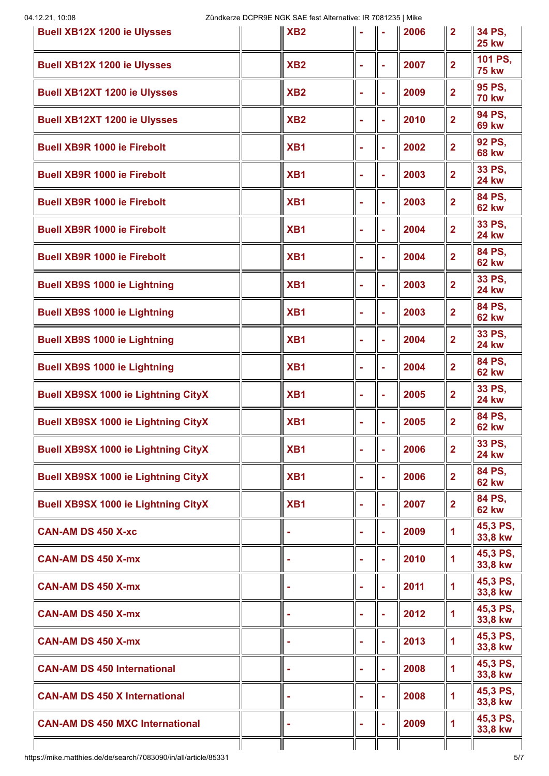| <b>Buell XB12X 1200 ie Ulysses</b>         | XB <sub>2</sub> |   |    | 2006 | $\overline{2}$ | 34 PS.<br><b>25 kw</b>  |
|--------------------------------------------|-----------------|---|----|------|----------------|-------------------------|
| <b>Buell XB12X 1200 ie Ulysses</b>         | XB2             |   | ÷  | 2007 | $\overline{2}$ | 101 PS,<br><b>75 kw</b> |
| <b>Buell XB12XT 1200 ie Ulysses</b>        | XB <sub>2</sub> |   | ÷  | 2009 | $\overline{2}$ | 95 PS,<br><b>70 kw</b>  |
| <b>Buell XB12XT 1200 ie Ulysses</b>        | XB <sub>2</sub> |   | ÷  | 2010 | $\overline{2}$ | 94 PS,<br><b>69 kw</b>  |
| <b>Buell XB9R 1000 ie Firebolt</b>         | XB <sub>1</sub> |   | ÷  | 2002 | $\overline{2}$ | 92 PS.<br><b>68 kw</b>  |
| <b>Buell XB9R 1000 ie Firebolt</b>         | XB <sub>1</sub> |   | ÷  | 2003 | $\overline{2}$ | 33 PS,<br><b>24 kw</b>  |
| <b>Buell XB9R 1000 ie Firebolt</b>         | XB <sub>1</sub> |   | ÷  | 2003 | $\overline{2}$ | 84 PS,<br><b>62 kw</b>  |
| <b>Buell XB9R 1000 ie Firebolt</b>         | XB <sub>1</sub> |   |    | 2004 | $\overline{2}$ | 33 PS,<br><b>24 kw</b>  |
| <b>Buell XB9R 1000 ie Firebolt</b>         | XB <sub>1</sub> |   | ÷  | 2004 | $\overline{2}$ | 84 PS,<br><b>62 kw</b>  |
| <b>Buell XB9S 1000 ie Lightning</b>        | XB <sub>1</sub> |   |    | 2003 | $\overline{2}$ | 33 PS,<br><b>24 kw</b>  |
| <b>Buell XB9S 1000 ie Lightning</b>        | XB <sub>1</sub> |   | ÷  | 2003 | $\overline{2}$ | 84 PS,<br><b>62 kw</b>  |
| <b>Buell XB9S 1000 ie Lightning</b>        | XB <sub>1</sub> |   |    | 2004 | $\overline{2}$ | 33 PS,<br><b>24 kw</b>  |
| <b>Buell XB9S 1000 ie Lightning</b>        | XB <sub>1</sub> |   | ÷  | 2004 | $\overline{2}$ | 84 PS,<br><b>62 kw</b>  |
| <b>Buell XB9SX 1000 ie Lightning CityX</b> | XB <sub>1</sub> |   |    | 2005 | $\overline{2}$ | 33 PS,<br><b>24 kw</b>  |
| <b>Buell XB9SX 1000 ie Lightning CityX</b> | XB1             |   |    | 2005 | $\overline{2}$ | 84 PS.<br><b>62 kw</b>  |
| <b>Buell XB9SX 1000 ie Lightning CityX</b> | XB <sub>1</sub> |   |    | 2006 | $\overline{2}$ | 33 PS,<br><b>24 kw</b>  |
| <b>Buell XB9SX 1000 ie Lightning CityX</b> | XB <sub>1</sub> |   |    | 2006 | $\overline{2}$ | 84 PS,<br><b>62 kw</b>  |
| <b>Buell XB9SX 1000 ie Lightning CityX</b> | XB1             |   |    | 2007 | $\overline{2}$ | 84 PS,<br><b>62 kw</b>  |
| <b>CAN-AM DS 450 X-xc</b>                  |                 |   | ä  | 2009 | $\mathbf{1}$   | 45,3 PS,<br>33,8 kw     |
| <b>CAN-AM DS 450 X-mx</b>                  |                 |   |    | 2010 | $\mathbf{1}$   | 45,3 PS,<br>33,8 kw     |
| <b>CAN-AM DS 450 X-mx</b>                  |                 |   |    | 2011 | $\mathbf{1}$   | 45,3 PS,<br>33,8 kw     |
| <b>CAN-AM DS 450 X-mx</b>                  |                 |   | ä  | 2012 | $\mathbf{1}$   | 45,3 PS,<br>33,8 kw     |
| <b>CAN-AM DS 450 X-mx</b>                  |                 |   | ä, | 2013 | $\mathbf{1}$   | 45,3 PS,<br>33,8 kw     |
| <b>CAN-AM DS 450 International</b>         |                 |   | ä, | 2008 | $\mathbf 1$    | 45,3 PS,<br>33,8 kw     |
| <b>CAN-AM DS 450 X International</b>       |                 |   | ä  | 2008 | $\mathbf{1}$   | 45,3 PS,<br>33,8 kw     |
| <b>CAN-AM DS 450 MXC International</b>     |                 | ÷ |    | 2009 | $\mathbf{1}$   | 45,3 PS,<br>33,8 kw     |
|                                            |                 |   |    |      |                |                         |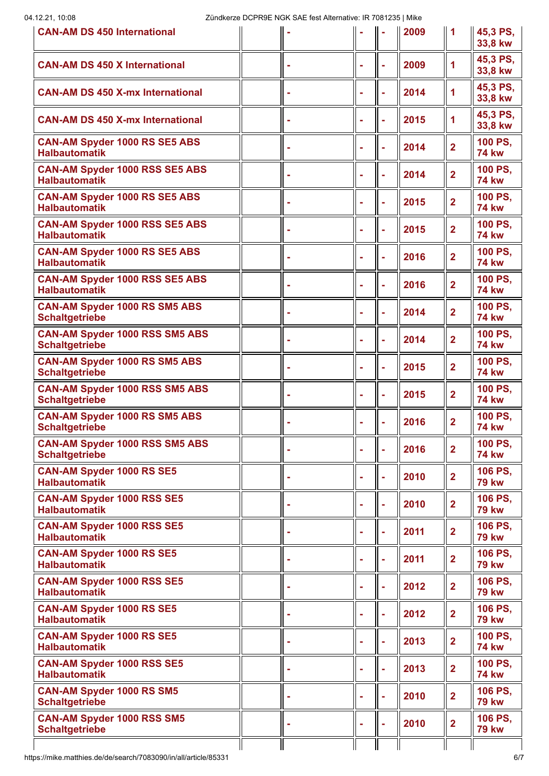| <b>CAN-AM DS 450 International</b>                             |  |   |    | 2009 | 1                       | 45,3 PS,<br>33,8 kw     |
|----------------------------------------------------------------|--|---|----|------|-------------------------|-------------------------|
| <b>CAN-AM DS 450 X International</b>                           |  |   |    | 2009 | 1                       | 45,3 PS.<br>33,8 kw     |
| <b>CAN-AM DS 450 X-mx International</b>                        |  |   |    | 2014 | 1                       | 45,3 PS,<br>33,8 kw     |
| <b>CAN-AM DS 450 X-mx International</b>                        |  |   |    | 2015 | $\mathbf{1}$            | 45,3 PS,<br>33,8 kw     |
| <b>CAN-AM Spyder 1000 RS SE5 ABS</b><br><b>Halbautomatik</b>   |  |   |    | 2014 | $\overline{2}$          | 100 PS,<br><b>74 kw</b> |
| CAN-AM Spyder 1000 RSS SE5 ABS<br><b>Halbautomatik</b>         |  |   |    | 2014 | $\overline{2}$          | 100 PS,<br><b>74 kw</b> |
| <b>CAN-AM Spyder 1000 RS SE5 ABS</b><br><b>Halbautomatik</b>   |  |   |    | 2015 | $\overline{2}$          | 100 PS,<br><b>74 kw</b> |
| CAN-AM Spyder 1000 RSS SE5 ABS<br><b>Halbautomatik</b>         |  |   |    | 2015 | $\overline{2}$          | 100 PS,<br><b>74 kw</b> |
| <b>CAN-AM Spyder 1000 RS SE5 ABS</b><br><b>Halbautomatik</b>   |  |   |    | 2016 | $\overline{\mathbf{2}}$ | 100 PS,<br><b>74 kw</b> |
| <b>CAN-AM Spyder 1000 RSS SE5 ABS</b><br><b>Halbautomatik</b>  |  |   | ä, | 2016 | $\overline{2}$          | 100 PS,<br><b>74 kw</b> |
| <b>CAN-AM Spyder 1000 RS SM5 ABS</b><br><b>Schaltgetriebe</b>  |  |   | ä  | 2014 | $\overline{2}$          | 100 PS,<br><b>74 kw</b> |
| <b>CAN-AM Spyder 1000 RSS SM5 ABS</b><br><b>Schaltgetriebe</b> |  |   | ä  | 2014 | $\overline{2}$          | 100 PS,<br><b>74 kw</b> |
| <b>CAN-AM Spyder 1000 RS SM5 ABS</b><br><b>Schaltgetriebe</b>  |  |   | ä, | 2015 | $\overline{2}$          | 100 PS,<br><b>74 kw</b> |
| <b>CAN-AM Spyder 1000 RSS SM5 ABS</b><br><b>Schaltgetriebe</b> |  |   | ä, | 2015 | $\overline{2}$          | 100 PS.<br><b>74 kw</b> |
| <b>CAN-AM Spyder 1000 RS SM5 ABS</b><br><b>Schaltgetriebe</b>  |  |   |    | 2016 | $\overline{2}$          | 100 PS,<br><b>74 kw</b> |
| <b>CAN-AM Spyder 1000 RSS SM5 ABS</b><br><b>Schaltgetriebe</b> |  |   |    | 2016 | $\overline{2}$          | 100 PS,<br><b>74 kw</b> |
| <b>CAN-AM Spyder 1000 RS SE5</b><br><b>Halbautomatik</b>       |  | ÷ | ٠  | 2010 | $\overline{\mathbf{2}}$ | 106 PS,<br><b>79 kw</b> |
| <b>CAN-AM Spyder 1000 RSS SE5</b><br><b>Halbautomatik</b>      |  |   | ä, | 2010 | $\overline{\mathbf{2}}$ | 106 PS,<br><b>79 kw</b> |
| <b>CAN-AM Spyder 1000 RSS SE5</b><br><b>Halbautomatik</b>      |  |   | ä, | 2011 | $\overline{2}$          | 106 PS,<br><b>79 kw</b> |
| <b>CAN-AM Spyder 1000 RS SE5</b><br><b>Halbautomatik</b>       |  |   | ÷  | 2011 | $\overline{2}$          | 106 PS,<br><b>79 kw</b> |
| <b>CAN-AM Spyder 1000 RSS SE5</b><br><b>Halbautomatik</b>      |  |   | ۰  | 2012 | $\overline{2}$          | 106 PS.<br><b>79 kw</b> |
| <b>CAN-AM Spyder 1000 RS SE5</b><br><b>Halbautomatik</b>       |  |   |    | 2012 | $\overline{2}$          | 106 PS,<br><b>79 kw</b> |
| <b>CAN-AM Spyder 1000 RS SE5</b><br><b>Halbautomatik</b>       |  |   | ÷  | 2013 | $\overline{2}$          | 100 PS,<br><b>74 kw</b> |
| <b>CAN-AM Spyder 1000 RSS SE5</b><br><b>Halbautomatik</b>      |  |   | ä, | 2013 | $\overline{2}$          | 100 PS,<br><b>74 kw</b> |
| <b>CAN-AM Spyder 1000 RS SM5</b><br><b>Schaltgetriebe</b>      |  |   | ä, | 2010 | $\overline{2}$          | 106 PS.<br><b>79 kw</b> |
| <b>CAN-AM Spyder 1000 RSS SM5</b><br><b>Schaltgetriebe</b>     |  |   |    | 2010 | $\overline{2}$          | 106 PS,<br><b>79 kw</b> |
|                                                                |  |   |    |      |                         |                         |